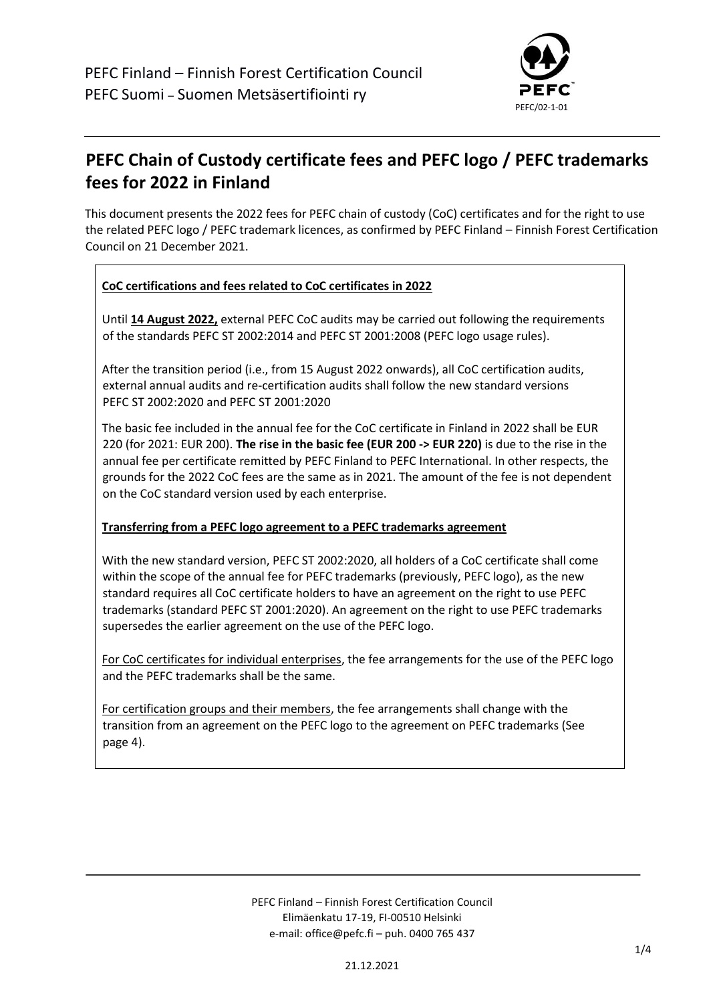

# **PEFC Chain of Custody certificate fees and PEFC logo / PEFC trademarks fees for 2022 in Finland**

This document presents the 2022 fees for PEFC chain of custody (CoC) certificates and for the right to use the related PEFC logo / PEFC trademark licences, as confirmed by PEFC Finland – Finnish Forest Certification Council on 21 December 2021.

#### **CoC certifications and fees related to CoC certificates in 2022**

Until **14 August 2022,** external PEFC CoC audits may be carried out following the requirements of the standards PEFC ST 2002:2014 and PEFC ST 2001:2008 (PEFC logo usage rules).

After the transition period (i.e., from 15 August 2022 onwards), all CoC certification audits, external annual audits and re-certification audits shall follow the new standard versions PEFC ST 2002:2020 and PEFC ST 2001:2020

The basic fee included in the annual fee for the CoC certificate in Finland in 2022 shall be EUR 220 (for 2021: EUR 200). **The rise in the basic fee (EUR 200 -> EUR 220)** is due to the rise in the annual fee per certificate remitted by PEFC Finland to PEFC International. In other respects, the grounds for the 2022 CoC fees are the same as in 2021. The amount of the fee is not dependent on the CoC standard version used by each enterprise.

#### **Transferring from a PEFC logo agreement to a PEFC trademarks agreement**

With the new standard version, PEFC ST 2002:2020, all holders of a CoC certificate shall come within the scope of the annual fee for PEFC trademarks (previously, PEFC logo), as the new standard requires all CoC certificate holders to have an agreement on the right to use PEFC trademarks (standard PEFC ST 2001:2020). An agreement on the right to use PEFC trademarks supersedes the earlier agreement on the use of the PEFC logo.

For CoC certificates for individual enterprises, the fee arrangements for the use of the PEFC logo and the PEFC trademarks shall be the same.

For certification groups and their members, the fee arrangements shall change with the transition from an agreement on the PEFC logo to the agreement on PEFC trademarks (See page 4).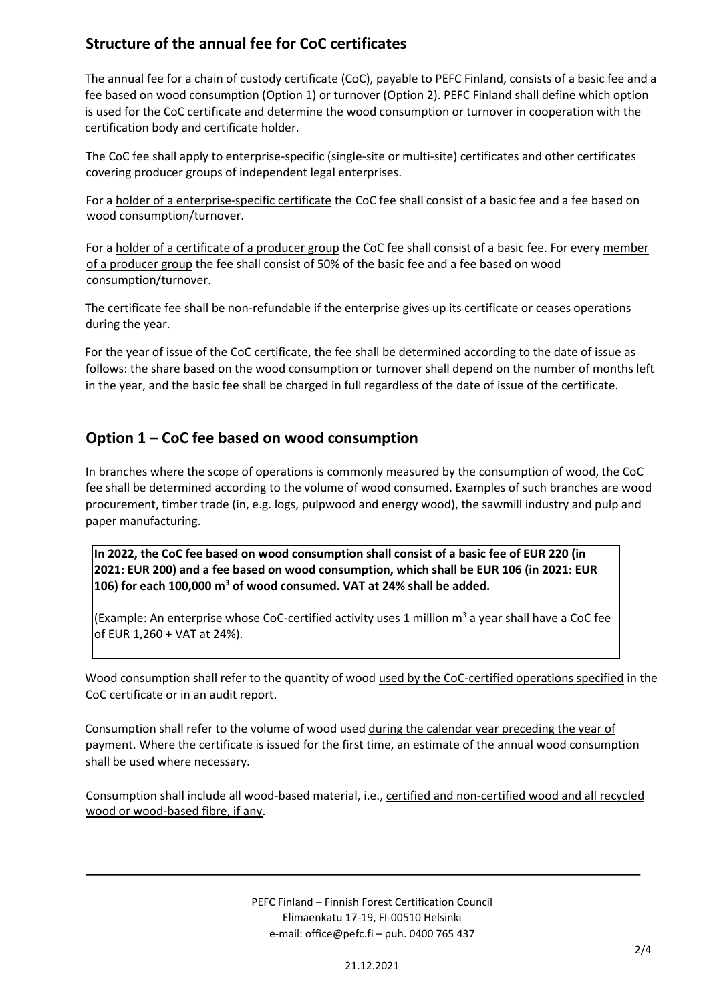### **Structure of the annual fee for CoC certificates**

The annual fee for a chain of custody certificate (CoC), payable to PEFC Finland, consists of a basic fee and a fee based on wood consumption (Option 1) or turnover (Option 2). PEFC Finland shall define which option is used for the CoC certificate and determine the wood consumption or turnover in cooperation with the certification body and certificate holder.

The CoC fee shall apply to enterprise-specific (single-site or multi-site) certificates and other certificates covering producer groups of independent legal enterprises.

For a holder of a enterprise-specific certificate the CoC fee shall consist of a basic fee and a fee based on wood consumption/turnover.

For a holder of a certificate of a producer group the CoC fee shall consist of a basic fee. For every member of a producer group the fee shall consist of 50% of the basic fee and a fee based on wood consumption/turnover.

The certificate fee shall be non-refundable if the enterprise gives up its certificate or ceases operations during the year.

For the year of issue of the CoC certificate, the fee shall be determined according to the date of issue as follows: the share based on the wood consumption or turnover shall depend on the number of months left in the year, and the basic fee shall be charged in full regardless of the date of issue of the certificate.

### **Option 1 – CoC fee based on wood consumption**

In branches where the scope of operations is commonly measured by the consumption of wood, the CoC fee shall be determined according to the volume of wood consumed. Examples of such branches are wood procurement, timber trade (in, e.g. logs, pulpwood and energy wood), the sawmill industry and pulp and paper manufacturing.

**In 2022, the CoC fee based on wood consumption shall consist of a basic fee of EUR 220 (in 2021: EUR 200) and a fee based on wood consumption, which shall be EUR 106 (in 2021: EUR 106) for each 100,000 m<sup>3</sup> of wood consumed. VAT at 24% shall be added.**

(Example: An enterprise whose CoC-certified activity uses 1 million  $m^3$  a year shall have a CoC fee of EUR 1,260 + VAT at 24%).

Wood consumption shall refer to the quantity of wood used by the CoC-certified operations specified in the CoC certificate or in an audit report.

Consumption shall refer to the volume of wood used during the calendar year preceding the year of payment. Where the certificate is issued for the first time, an estimate of the annual wood consumption shall be used where necessary.

Consumption shall include all wood-based material, i.e., certified and non-certified wood and all recycled wood or wood-based fibre, if any.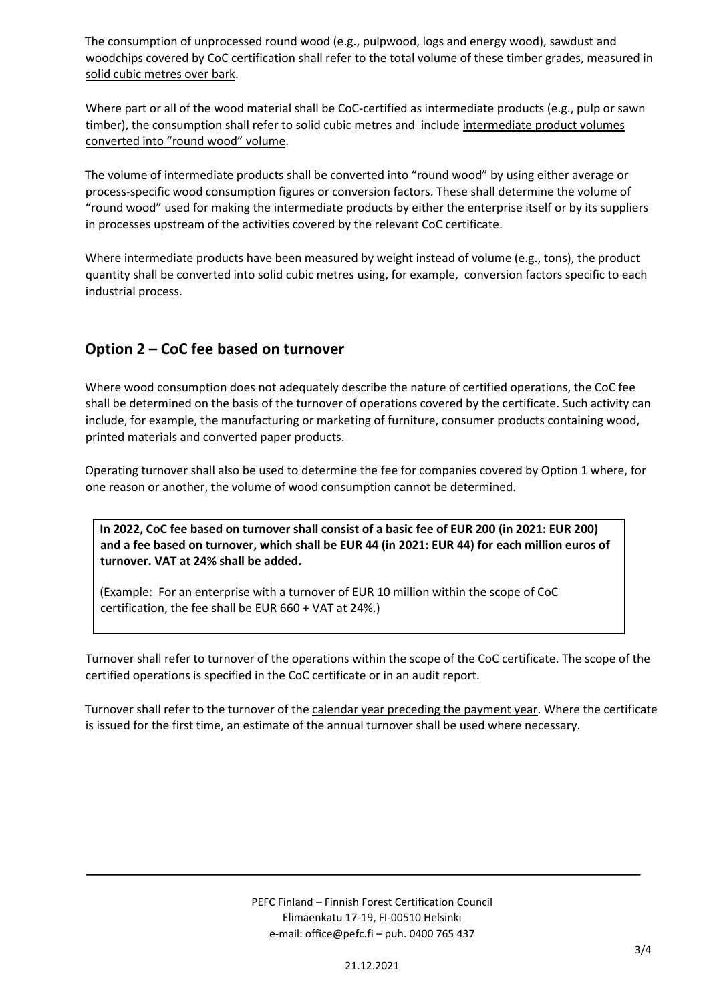The consumption of unprocessed round wood (e.g., pulpwood, logs and energy wood), sawdust and woodchips covered by CoC certification shall refer to the total volume of these timber grades, measured in solid cubic metres over bark.

Where part or all of the wood material shall be CoC-certified as intermediate products (e.g., pulp or sawn timber), the consumption shall refer to solid cubic metres and include intermediate product volumes converted into "round wood" volume.

The volume of intermediate products shall be converted into "round wood" by using either average or process-specific wood consumption figures or conversion factors. These shall determine the volume of "round wood" used for making the intermediate products by either the enterprise itself or by its suppliers in processes upstream of the activities covered by the relevant CoC certificate.

Where intermediate products have been measured by weight instead of volume (e.g., tons), the product quantity shall be converted into solid cubic metres using, for example, conversion factors specific to each industrial process.

### **Option 2 – CoC fee based on turnover**

Where wood consumption does not adequately describe the nature of certified operations, the CoC fee shall be determined on the basis of the turnover of operations covered by the certificate. Such activity can include, for example, the manufacturing or marketing of furniture, consumer products containing wood, printed materials and converted paper products.

Operating turnover shall also be used to determine the fee for companies covered by Option 1 where, for one reason or another, the volume of wood consumption cannot be determined.

**In 2022, CoC fee based on turnover shall consist of a basic fee of EUR 200 (in 2021: EUR 200) and a fee based on turnover, which shall be EUR 44 (in 2021: EUR 44) for each million euros of turnover. VAT at 24% shall be added.**

(Example: For an enterprise with a turnover of EUR 10 million within the scope of CoC certification, the fee shall be EUR 660 + VAT at 24%.)

Turnover shall refer to turnover of the operations within the scope of the CoC certificate. The scope of the certified operations is specified in the CoC certificate or in an audit report.

Turnover shall refer to the turnover of the calendar year preceding the payment year. Where the certificate is issued for the first time, an estimate of the annual turnover shall be used where necessary.